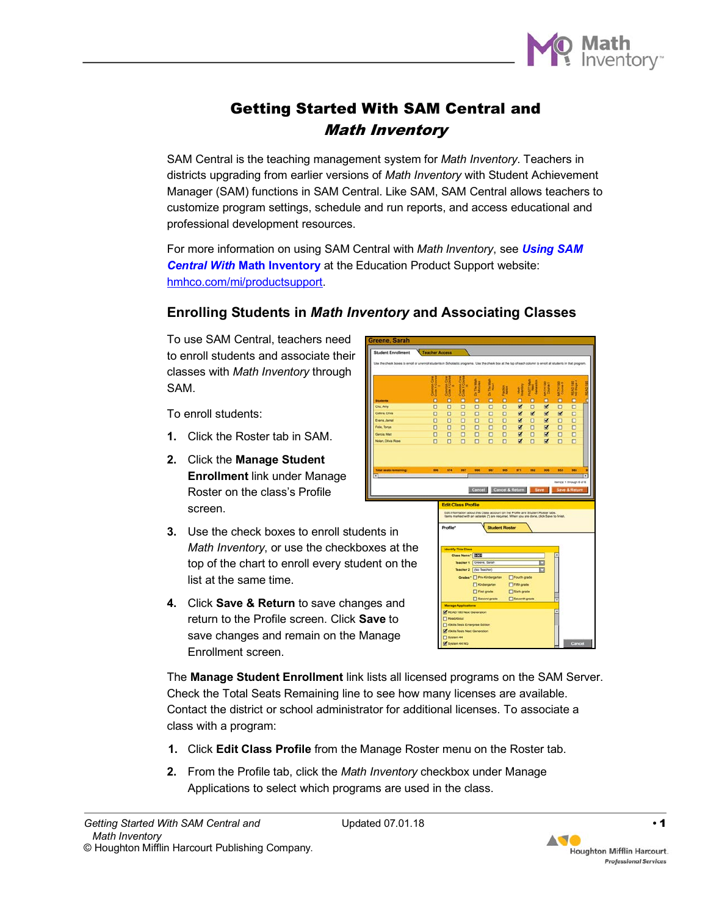

# Getting Started With SAM Central and Math Inventory

SAM Central is the teaching management system for *Math Inventory*. Teachers in districts upgrading from earlier versions of *Math Inventory* with Student Achievement Manager (SAM) functions in SAM Central. Like SAM, SAM Central allows teachers to customize program settings, schedule and run reports, and access educational and professional development resources.

For more information on using SAM Central with *Math Inventory*, see *[Using SAM](https://www.hmhco.com/product-support/products/mi)  Central With* **[Math Inventory](https://www.hmhco.com/product-support/products/mi)** at the Education Product Support website: [hmhco.com/mi/productsupport.](https://www.hmhco.com/product-support/products/mi) 

### **Enrolling Students in** *Math Inventory* **and Associating Classes**

To use SAM Central, teachers need to enroll students and associate their classes with *Math Inventory* through SAM.

To enroll students:

- **1.** Click the Roster tab in SAM.
- **2.** Click the **Manage Student Enrollment** link under Manage Roster on the class's Profile screen.
- **3.** Use the check boxes to enroll students in *Math Inventory*, or use the checkboxes at the top of the chart to enroll every student on the list at the same time.
- **4.** Click **Save & Return** to save changes and return to the Profile screen. Click **Save** to save changes and remain on the Manage Enrollment screen.

10000 **10000 OOOOO 00000** E E **ITT** Fifth grade

The **Manage Student Enrollment** link lists all licensed programs on the SAM Server. Check the Total Seats Remaining line to see how many licenses are available. Contact the district or school administrator for additional licenses. To associate a class with a program:

- **1.** Click **Edit Class Profile** from the Manage Roster menu on the Roster tab.
- **2.** From the Profile tab, click the *Math Inventory* checkbox under Manage Applications to select which programs are used in the class.

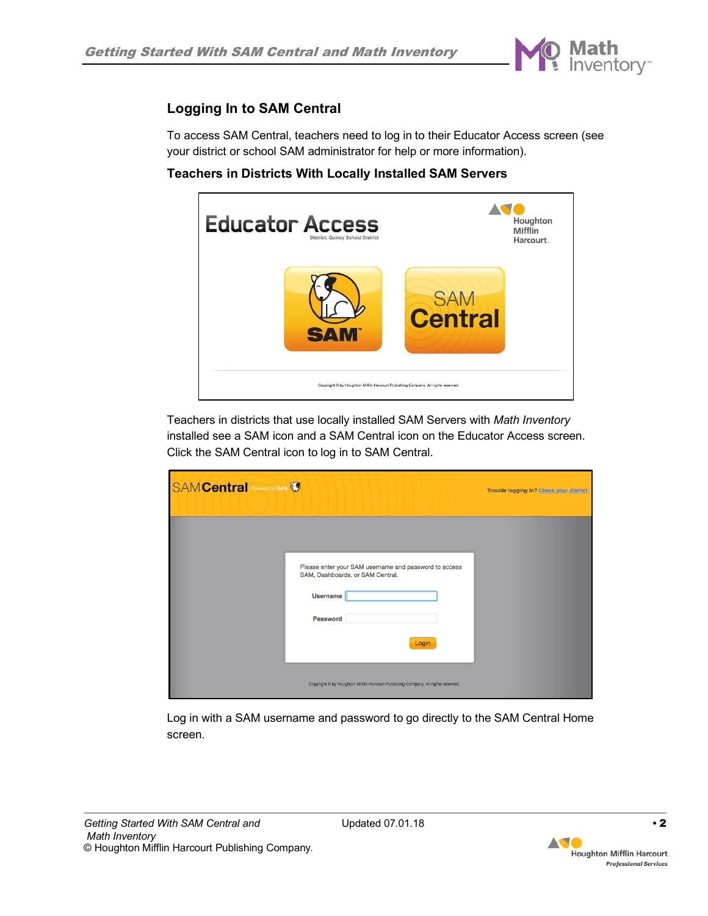

## **Logging In to SAM Central**

To access SAM Central, teachers need to log in to their Educator Access screen (see your district or school SAM administrator for help or more information).

**Teachers in Districts With Locally Installed SAM Servers**



Teachers in districts that use locally installed SAM Servers with *Math Inventory* installed see a SAM icon and a SAM Central icon on the Educator Access screen. Click the SAM Central icon to log in to SAM Central.

| <b>SAM Central</b> Powered by SAM                                                                                                                                                                                      | Trouble logging in? Check your district |
|------------------------------------------------------------------------------------------------------------------------------------------------------------------------------------------------------------------------|-----------------------------------------|
| Please enter your SAM username and password to access<br>SAM, Dashboards, or SAM Central.<br><b>Username</b><br>Password<br>Login<br>Copyright C by Houghton Mifflin Harcourt Publishing Company. All rights reserved. |                                         |

Log in with a SAM username and password to go directly to the SAM Central Home screen.